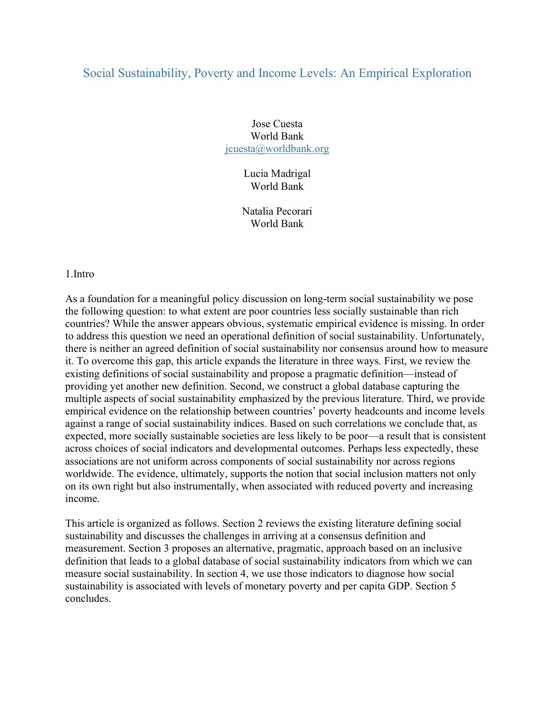# Social Sustainability, Poverty and Income Levels: An Empirical Exploration

Jose Cuesta World Bank jcuesta@worldbank.org

> Lucia Madrigal World Bank

Natalia Pecorari World Bank

#### 1.Intro

As a foundation for a meaningful policy discussion on long-term social sustainability we pose the following question: to what extent are poor countries less socially sustainable than rich countries? While the answer appears obvious, systematic empirical evidence is missing. In order to address this question we need an operational definition of social sustainability. Unfortunately, there is neither an agreed definition of social sustainability nor consensus around how to measure it. To overcome this gap, this article expands the literature in three ways. First, we review the existing definitions of social sustainability and propose a pragmatic definition—instead of providing yet another new definition. Second, we construct a global database capturing the multiple aspects of social sustainability emphasized by the previous literature. Third, we provide empirical evidence on the relationship between countries' poverty headcounts and income levels against a range of social sustainability indices. Based on such correlations we conclude that, as expected, more socially sustainable societies are less likely to be poor—a result that is consistent across choices of social indicators and developmental outcomes. Perhaps less expectedly, these associations are not uniform across components of social sustainability nor across regions worldwide. The evidence, ultimately, supports the notion that social inclusion matters not only on its own right but also instrumentally, when associated with reduced poverty and increasing income.

This article is organized as follows. Section 2 reviews the existing literature defining social sustainability and discusses the challenges in arriving at a consensus definition and measurement. Section 3 proposes an alternative, pragmatic, approach based on an inclusive definition that leads to a global database of social sustainability indicators from which we can measure social sustainability. In section 4, we use those indicators to diagnose how social sustainability is associated with levels of monetary poverty and per capita GDP. Section 5 concludes.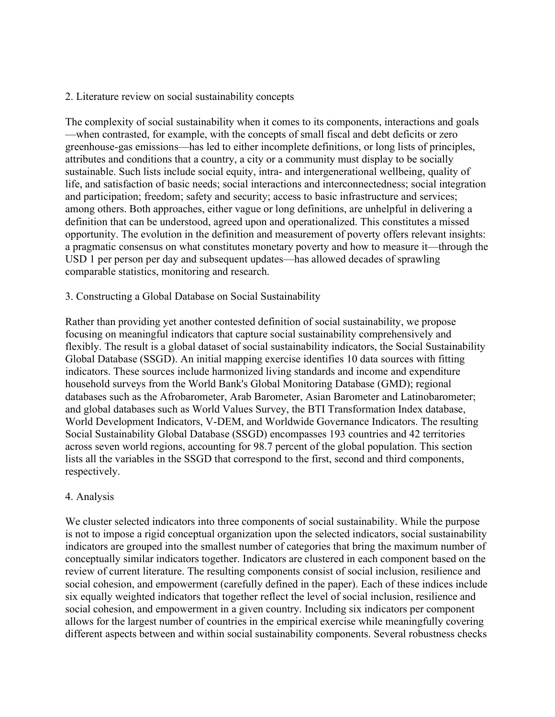### 2. Literature review on social sustainability concepts

The complexity of social sustainability when it comes to its components, interactions and goals —when contrasted, for example, with the concepts of small fiscal and debt deficits or zero greenhouse-gas emissions—has led to either incomplete definitions, or long lists of principles, attributes and conditions that a country, a city or a community must display to be socially sustainable. Such lists include social equity, intra- and intergenerational wellbeing, quality of life, and satisfaction of basic needs; social interactions and interconnectedness; social integration and participation; freedom; safety and security; access to basic infrastructure and services; among others. Both approaches, either vague or long definitions, are unhelpful in delivering a definition that can be understood, agreed upon and operationalized. This constitutes a missed opportunity. The evolution in the definition and measurement of poverty offers relevant insights: a pragmatic consensus on what constitutes monetary poverty and how to measure it—through the USD 1 per person per day and subsequent updates—has allowed decades of sprawling comparable statistics, monitoring and research.

### 3. Constructing a Global Database on Social Sustainability

Rather than providing yet another contested definition of social sustainability, we propose focusing on meaningful indicators that capture social sustainability comprehensively and flexibly. The result is a global dataset of social sustainability indicators, the Social Sustainability Global Database (SSGD). An initial mapping exercise identifies 10 data sources with fitting indicators. These sources include harmonized living standards and income and expenditure household surveys from the World Bank's Global Monitoring Database (GMD); regional databases such as the Afrobarometer, Arab Barometer, Asian Barometer and Latinobarometer; and global databases such as World Values Survey, the BTI Transformation Index database, World Development Indicators, V-DEM, and Worldwide Governance Indicators. The resulting Social Sustainability Global Database (SSGD) encompasses 193 countries and 42 territories across seven world regions, accounting for 98.7 percent of the global population. This section lists all the variables in the SSGD that correspond to the first, second and third components, respectively.

### 4. Analysis

We cluster selected indicators into three components of social sustainability. While the purpose is not to impose a rigid conceptual organization upon the selected indicators, social sustainability indicators are grouped into the smallest number of categories that bring the maximum number of conceptually similar indicators together. Indicators are clustered in each component based on the review of current literature. The resulting components consist of social inclusion, resilience and social cohesion, and empowerment (carefully defined in the paper). Each of these indices include six equally weighted indicators that together reflect the level of social inclusion, resilience and social cohesion, and empowerment in a given country. Including six indicators per component allows for the largest number of countries in the empirical exercise while meaningfully covering different aspects between and within social sustainability components. Several robustness checks